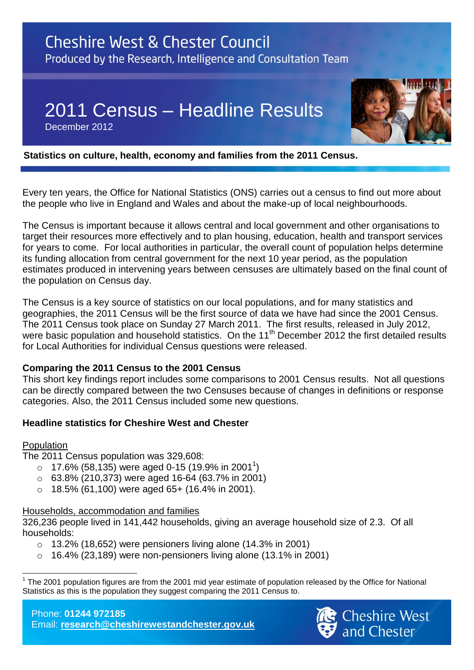# **Cheshire West & Chester Council** Produced by the Research, Intelligence and Consultation Team

2011 Census – Headline Results

December 2012



### **Statistics on culture, health, economy and families from the 2011 Census.**

Every ten years, the Office for National Statistics (ONS) carries out a census to find out more about the people who live in England and Wales and about the make-up of local neighbourhoods.

The Census is important because it allows central and local government and other organisations to target their resources more effectively and to plan housing, education, health and transport services for years to come. For local authorities in particular, the overall count of population helps determine its funding allocation from central government for the next 10 year period, as the population estimates produced in intervening years between censuses are ultimately based on the final count of the population on Census day.

The Census is a key source of statistics on our local populations, and for many statistics and geographies, the 2011 Census will be the first source of data we have had since the 2001 Census. The 2011 Census took place on Sunday 27 March 2011. The first results, released in July 2012, were basic population and household statistics. On the 11<sup>th</sup> December 2012 the first detailed results for Local Authorities for individual Census questions were released.

### **Comparing the 2011 Census to the 2001 Census**

This short key findings report includes some comparisons to 2001 Census results. Not all questions can be directly compared between the two Censuses because of changes in definitions or response categories. Also, the 2011 Census included some new questions.

### **Headline statistics for Cheshire West and Chester**

### Population

The 2011 Census population was 329,608:

- $\, \circ \,$  17.6% (58,135) were aged 0-15 (19.9% in 2001<sup>1</sup>)
- $\circ$  63.8% (210,373) were aged 16-64 (63.7% in 2001)
- $\circ$  18.5% (61,100) were aged 65+ (16.4% in 2001).

# Households, accommodation and families

326,236 people lived in 141,442 households, giving an average household size of 2.3. Of all households:

- $\circ$  13.2% (18.652) were pensioners living alone (14.3% in 2001)
- $\circ$  16.4% (23,189) were non-pensioners living alone (13.1% in 2001)

Phone: **01244 972185** Email: **[research@cheshirewestandchester.gov.uk](mailto:research@cheshirewestandchester.gov.uk)**



 $\overline{a}$ 1 The 2001 population figures are from the 2001 mid year estimate of population released by the Office for National Statistics as this is the population they suggest comparing the 2011 Census to.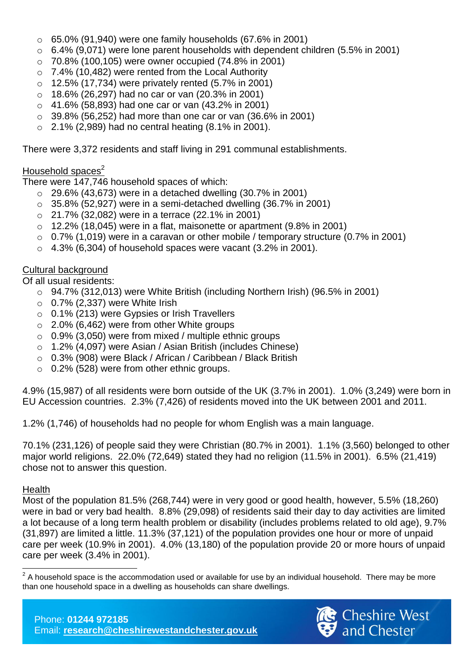- $\circ$  65.0% (91,940) were one family households (67.6% in 2001)
- $\circ$  6.4% (9,071) were lone parent households with dependent children (5.5% in 2001)
- o 70.8% (100,105) were owner occupied (74.8% in 2001)
- o 7.4% (10,482) were rented from the Local Authority
- $\circ$  12.5% (17.734) were privately rented (5.7% in 2001)
- $\circ$  18.6% (26,297) had no car or van (20.3% in 2001)
- $\circ$  41.6% (58,893) had one car or van (43.2% in 2001)
- $\circ$  39.8% (56,252) had more than one car or van (36.6% in 2001)
- $\circ$  2.1% (2,989) had no central heating (8.1% in 2001).

There were 3,372 residents and staff living in 291 communal establishments.

# Household spaces $2$

There were 147,746 household spaces of which:

- $\circ$  29.6% (43,673) were in a detached dwelling (30.7% in 2001)
- $\circ$  35.8% (52,927) were in a semi-detached dwelling (36.7% in 2001)
- o 21.7% (32,082) were in a terrace (22.1% in 2001)
- $\circ$  12.2% (18,045) were in a flat, maisonette or apartment (9.8% in 2001)
- $\circ$  0.7% (1,019) were in a caravan or other mobile / temporary structure (0.7% in 2001)
- $\circ$  4.3% (6.304) of household spaces were vacant (3.2% in 2001).

# Cultural background

Of all usual residents:

- $\circ$  94.7% (312,013) were White British (including Northern Irish) (96.5% in 2001)
- $\circ$  0.7% (2,337) were White Irish
- o 0.1% (213) were Gypsies or Irish Travellers
- $\circ$  2.0% (6,462) were from other White groups
- $\circ$  0.9% (3.050) were from mixed / multiple ethnic groups
- o 1.2% (4,097) were Asian / Asian British (includes Chinese)
- o 0.3% (908) were Black / African / Caribbean / Black British
- o 0.2% (528) were from other ethnic groups.

4.9% (15,987) of all residents were born outside of the UK (3.7% in 2001). 1.0% (3,249) were born in EU Accession countries. 2.3% (7,426) of residents moved into the UK between 2001 and 2011.

1.2% (1,746) of households had no people for whom English was a main language.

70.1% (231,126) of people said they were Christian (80.7% in 2001). 1.1% (3,560) belonged to other major world religions. 22.0% (72,649) stated they had no religion (11.5% in 2001). 6.5% (21,419) chose not to answer this question.

# **Health**

Most of the population 81.5% (268,744) were in very good or good health, however, 5.5% (18,260) were in bad or very bad health. 8.8% (29,098) of residents said their day to day activities are limited a lot because of a long term health problem or disability (includes problems related to old age), 9.7% (31,897) are limited a little. 11.3% (37,121) of the population provides one hour or more of unpaid care per week (10.9% in 2001). 4.0% (13,180) of the population provide 20 or more hours of unpaid care per week (3.4% in 2001).



 $\overline{\phantom{a}}$  $2$  A household space is the accommodation used or available for use by an individual household. There may be more than one household space in a dwelling as households can share dwellings.